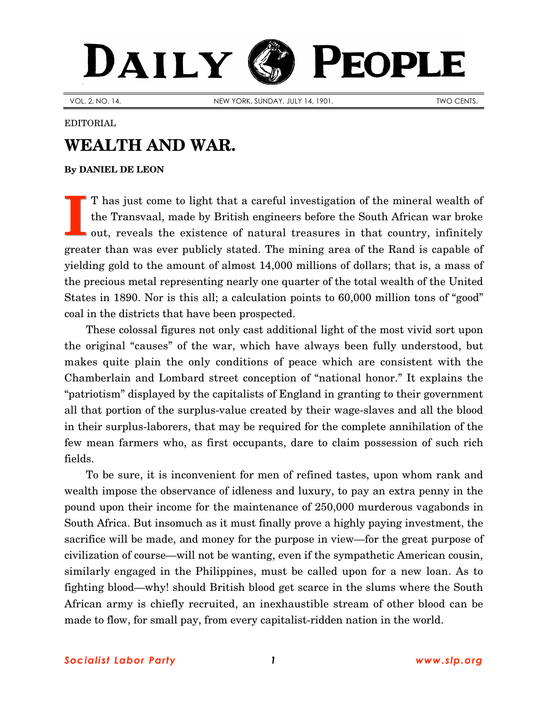## DAILY PEOPLE

VOL. 2, NO. 14. NEW YORK, SUNDAY, JULY 14, 1901. NEW YORK, SUNDAY, JULY 14, 1901.

EDITORIAL

## **WEALTH AND WAR.**

**By [DANIEL DE LEON](http://www.slp.org/De_Leon.htm)**

T has just come to light that a careful investigation of the mineral wealth of the Transvaal, made by British engineers before the South African war broke out, reveals the existence of natural treasures in that country, infinitely greater than was ever publicly stated. The mining area of the Rand is capable of yielding gold to the amount of almost 14,000 millions of dollars; that is, a mass of the precious metal representing nearly one quarter of the total wealth of the United States in 1890. Nor is this all; a calculation points to 60,000 million tons of "good" coal in the districts that have been prospected. **I**

These colossal figures not only cast additional light of the most vivid sort upon the original "causes" of the war, which have always been fully understood, but makes quite plain the only conditions of peace which are consistent with the Chamberlain and Lombard street conception of "national honor." It explains the "patriotism" displayed by the capitalists of England in granting to their government all that portion of the surplus-value created by their wage-slaves and all the blood in their surplus-laborers, that may be required for the complete annihilation of the few mean farmers who, as first occupants, dare to claim possession of such rich fields.

To be sure, it is inconvenient for men of refined tastes, upon whom rank and wealth impose the observance of idleness and luxury, to pay an extra penny in the pound upon their income for the maintenance of 250,000 murderous vagabonds in South Africa. But insomuch as it must finally prove a highly paying investment, the sacrifice will be made, and money for the purpose in view—for the great purpose of civilization of course—will not be wanting, even if the sympathetic American cousin, similarly engaged in the Philippines, must be called upon for a new loan. As to fighting blood—why! should British blood get scarce in the slums where the South African army is chiefly recruited, an inexhaustible stream of other blood can be made to flow, for small pay, from every capitalist-ridden nation in the world.